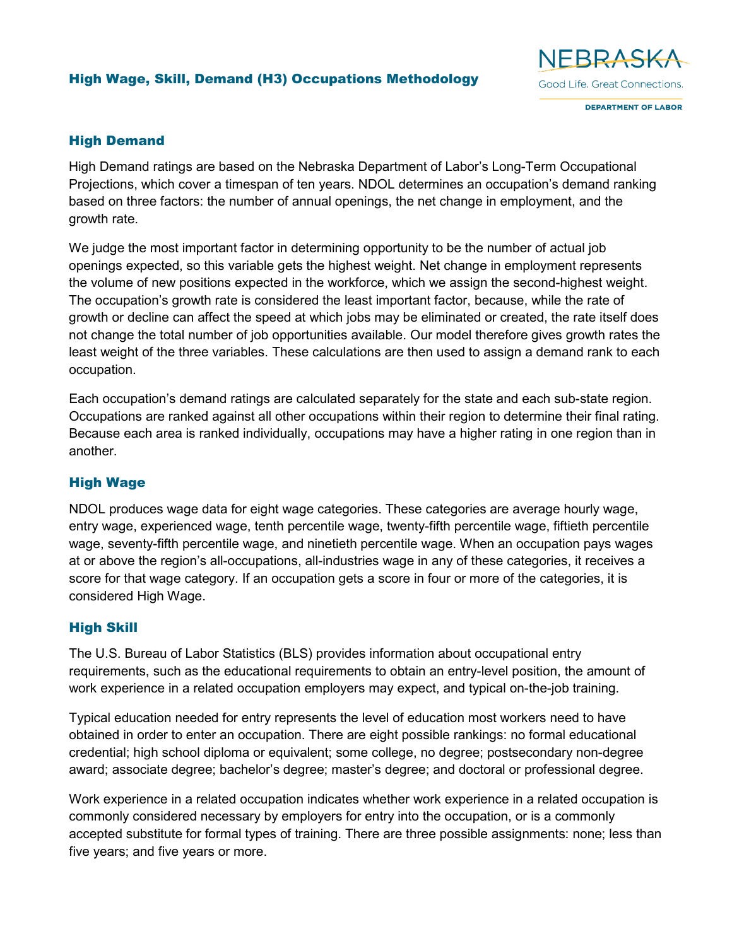## High Wage, Skill, Demand (H3) Occupations Methodology



**DEPARTMENT OF LABOR** 

## High Demand

High Demand ratings are based on the Nebraska Department of Labor's Long-Term Occupational Projections, which cover a timespan of ten years. NDOL determines an occupation's demand ranking based on three factors: the number of annual openings, the net change in employment, and the growth rate.

We judge the most important factor in determining opportunity to be the number of actual job openings expected, so this variable gets the highest weight. Net change in employment represents the volume of new positions expected in the workforce, which we assign the second-highest weight. The occupation's growth rate is considered the least important factor, because, while the rate of growth or decline can affect the speed at which jobs may be eliminated or created, the rate itself does not change the total number of job opportunities available. Our model therefore gives growth rates the least weight of the three variables. These calculations are then used to assign a demand rank to each occupation.

Each occupation's demand ratings are calculated separately for the state and each sub-state region. Occupations are ranked against all other occupations within their region to determine their final rating. Because each area is ranked individually, occupations may have a higher rating in one region than in another.

## High Wage

NDOL produces wage data for eight wage categories. These categories are average hourly wage, entry wage, experienced wage, tenth percentile wage, twenty-fifth percentile wage, fiftieth percentile wage, seventy-fifth percentile wage, and ninetieth percentile wage. When an occupation pays wages at or above the region's all-occupations, all-industries wage in any of these categories, it receives a score for that wage category. If an occupation gets a score in four or more of the categories, it is considered High Wage.

## High Skill

The U.S. Bureau of Labor Statistics (BLS) provides information about occupational entry requirements, such as the educational requirements to obtain an entry-level position, the amount of work experience in a related occupation employers may expect, and typical on-the-job training.

Typical education needed for entry represents the level of education most workers need to have obtained in order to enter an occupation. There are eight possible rankings: no formal educational credential; high school diploma or equivalent; some college, no degree; postsecondary non-degree award; associate degree; bachelor's degree; master's degree; and doctoral or professional degree.

Work experience in a related occupation indicates whether work experience in a related occupation is commonly considered necessary by employers for entry into the occupation, or is a commonly accepted substitute for formal types of training. There are three possible assignments: none; less than five years; and five years or more.